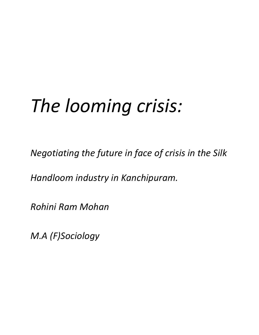# *The looming crisis:*

*Negotiating the future in face of crisis in the Silk* 

*Handloom industry in Kanchipuram.*

*Rohini Ram Mohan*

*M.A (F)Sociology*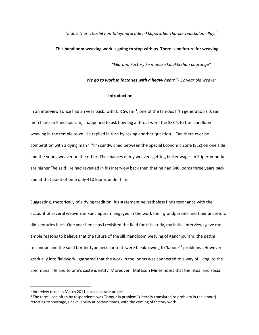#### *"Indha Thari Thozhil namtalaymurai ode nikkaporathe. Tharike yedirkalam illay."*

#### **This handloom weaving work is going to stop with us. There is no future for weaving.**

*"Ellarum, Factory ke manase kalakki than poorange"*

*We go to work in factories with a heavy heart."- 32 year old weaver*

# **Introduction**

In an interview I once had an year back, with C.R Swami<sup>[1](#page-1-0)</sup>, one of the famous fifth generation silk sari merchants in Kanchipuram, I happened to ask how big a threat were the SEZ 's to the handloom weaving in the temple town. He replied in turn by asking another question – Can there ever be competition with a dying man? "I'm sandwiched between the Special Economic Zone (SEZ) on one side, and the young weaver on the other. The chances of my weavers getting better wages in Sriperumbudur are higher "he said. He had revealed in his interview back then that he had 840 looms three years back and at that point of time only 410 looms under him.

Suggesting, rhetorically of a dying tradition, his statement nevertheless finds resonance with the account of several weavers in Kanchipuram engaged in the work their grandparents and their ancestors did centuries back. One year hence as I revisited the field for this study, my initial interviews gave me ample reasons to believe that the future of the silk handloom weaving of Kanchipuram, the pettni technique and the solid border type peculiar to it were bleak owing to 'labour'[2](#page-1-1) problems . However gradually into fieldwork I gathered that the work in the looms was connected to a way of living, to the communal life and to one's caste identity. Moreover, Mattison Mines notes that the ritual and social

<span id="page-1-0"></span> $1$  Interview taken in March 2011 on a separate project

<span id="page-1-1"></span><sup>&</sup>lt;sup>2</sup> The term used often by respondents was "labour la problem" (literally translated to problem in the labour) referring to shortage, unavailability at certain times, with the coming of factory work.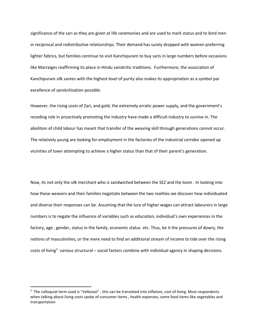significance of the sari as they are given at life ceremonies and are used to mark status and to bind men in reciprocal and redistributive relationships. Their demand has surely dropped with women preferring lighter fabrics, but families continue to visit Kanchipuram to buy saris in large numbers before occasions like Marraiges reaffirming its place in Hindu sanskritic traditions. Furthermore, the association of Kanchipuram silk sarees with the highest level of purity also makes its appropriation as a symbol par excellence of sanskritisation possible.

However, the rising costs of Zari, and gold, the extremely erratic power supply, and the government's receding role in proactively promoting the industry have made a difficult industry to survive in. The abolition of child labour has meant that transfer of the weaving skill through generations cannot occur. The relatively young are looking for employment in the factories of the industrial corridor opened up vicinities of town attempting to achieve a higher status than that of their parent's generation.

Now, its not only the silk merchant who is sandwiched between the SEZ and the loom . In looking into how these weavers and their families negotiate between the two realities we discover how individuated and diverse their responses can be. Assuming that the lure of higher wages can attract labourers in large numbers is to negate the influence of variables such as education, individual's own experiences in the factory, age , gender, status in the family, economic status etc. Thus, be it the pressures of dowry, the notions of masculinities, or the mere need to find an additional stream of income to tide over the rising costs of living<sup>[3](#page-2-0)</sup> various structural – social factors combine with individual agency in shaping decisions.

<span id="page-2-0"></span><sup>-&</sup>lt;br>3 <sup>3</sup> The colloquial term used is "Vellavasi", this can be translated into inflation, cost of living. Most respondents when talking about living costs spoke of consumer items , health expenses, some food items like vegetables and transportation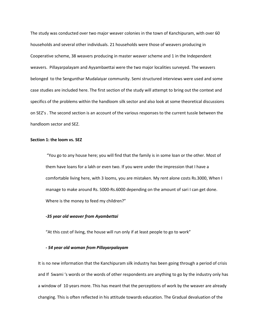The study was conducted over two major weaver colonies in the town of Kanchipuram, with over 60 households and several other individuals. 21 households were those of weavers producing in Cooperative scheme, 38 weavers producing in master weaver scheme and 1 in the Independent weavers. Pillayarpalayam and Ayyambaettai were the two major localities surveyed. The weavers belonged to the Sengunthar Mudalaiyar community. Semi structured interviews were used and some case studies are included here. The first section of the study will attempt to bring out the context and specifics of the problems within the handloom silk sector and also look at some theoretical discussions on SEZ's . The second section is an account of the various responses to the current tussle between the handloom sector and SEZ.

# **Section 1: the loom vs. SEZ**

"You go to any house here; you will find that the family is in some loan or the other. Most of them have loans for a lakh or even two. If you were under the impression that I have a comfortable living here, with 3 looms, you are mistaken. My rent alone costs Rs.3000, When I manage to make around Rs. 5000-Rs.6000 depending on the amount of sari I can get done. Where is the money to feed my children?"

# *-35 year old weaver from Ayambettai*

"At this cost of living, the house will run only if at least people to go to work"

# *- 54 year old woman from Pillayarpalayam*

It is no new information that the Kanchipuram silk industry has been going through a period of crisis and If Swami 's words or the words of other respondents are anything to go by the industry only has a window of 10 years more. This has meant that the perceptions of work by the weaver are already changing. This is often reflected in his attitude towards education. The Gradual devaluation of the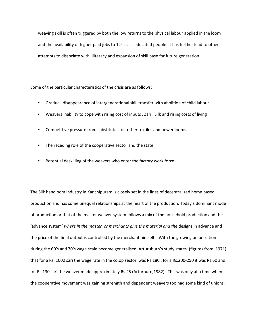weaving skill is often triggered by both the low returns to the physical labour applied in the loom and the availability of higher paid jobs to 12<sup>th</sup> class educated people. It has further lead to other attempts to dissociate with illiteracy and expansion of skill base for future generation

Some of the particular charecteristics of the crisis are as follows:

- Gradual disappearance of intergenerational skill transfer with abolition of child labour
- Weavers inability to cope with rising cost of inputs , Zari , Silk and rising costs of living
- Competitive pressure from substitutes for other textiles and power looms
- The receding role of the cooperative sector and the state
- Potential deskilling of the weavers who enter the factory work force

The Silk handloom industry in Kanchipuram is closely set in the lines of decentralized home based production and has some unequal relationships at the heart of the production. Today's dominant mode of production or that of the master weaver system follows a mix of the household production and the 'advance system' *where in the master or merchants give the material and the* designs in advance and the price of the final output is controlled by the merchant himself. With the growing unionization during the 60's and 70's wage scale become generalised. Arturuburn's study states (figures from 1971) that for a Rs. 1000 sari the wage rate in the co.op sector was Rs.180 , for a Rs.200-250 it was Rs.60 and for Rs.130 sari the weaver made approximately Rs.25 (Arturburn,1982) . This was only at a time when the cooperative movement was gaining strength and dependent weavers too had some kind of unions.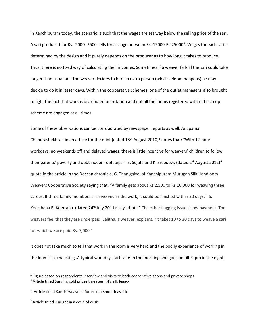In Kanchipuram today, the scenario is such that the wages are set way below the selling price of the sari. A sari produced for Rs. 2000-2500 sells for a range between Rs. 15000-Rs.25000<sup>[4](#page-5-0)</sup>. Wages for each sari is determined by the design and it purely depends on the producer as to how long it takes to produce. Thus, there is no fixed way of calculating their incomes. Sometimes if a weaver falls ill the sari could take longer than usual or if the weaver decides to hire an extra person (which seldom happens) he may decide to do it in lesser days. Within the cooperative schemes, one of the outlet managers also brought to light the fact that work is distributed on rotation and not all the looms registered within the co.op scheme are engaged at all times.

Some of these observations can be corroborated by newspaper reports as well. Anupama Chandrashekhran in an article for the mint (dated  $18<sup>th</sup>$  August 2010)<sup>[5](#page-5-1)</sup> notes that: "With 12-hour workdays, no weekends off and delayed wages, there is little incentive for weavers' children to follow their parents' poverty and debt-ridden footsteps." S. Sujata and K. Sreedevi, (dated  $1^{st}$  August 2012)<sup>[6](#page-5-2)</sup> quote in the article in the Deccan chronicle, G. Thanigaivel of Kanchipuram Murugan Silk Handloom Weavers Cooperative Society saying that: "A family gets about Rs 2,500 to Rs 10,000 for weaving three sarees. If three family members are involved in the work, it could be finished within 20 days." S. Keerthana R. Keertana (dated 24<sup>th</sup> July 2011)<sup>[7](#page-5-3)</sup> says that : "The other nagging issue is low payment. The weavers feel that they are underpaid. Lalitha, a weaver, explains, "It takes 10 to 30 days to weave a sari for which we are paid Rs. 7,000."

It does not take much to tell that work in the loom is very hard and the bodily experience of working in the looms is exhausting .A typical workday starts at 6 in the morning and goes on till 9.pm in the night,

<span id="page-5-0"></span> <sup>4</sup> Figure based on respondents interview and visits to both cooperative shops and private shops

<span id="page-5-1"></span><sup>5</sup> Article titled Surging gold prices threaten TN's silk legacy

<span id="page-5-2"></span> $6$  Article titled Kanchi weavers' future not smooth as silk

<span id="page-5-3"></span> $<sup>7</sup>$  Article titled Caught in a cycle of crisis</sup>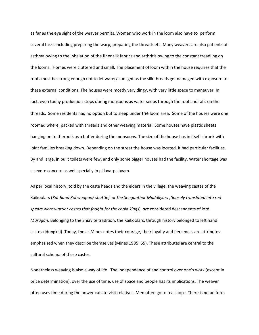as far as the eye sight of the weaver permits. Women who work in the loom also have to perform several tasks including preparing the warp, preparing the threads etc. Many weavers are also patients of asthma owing to the inhalation of the finer silk fabrics and arthritis owing to the constant treadling on the looms. Homes were cluttered and small. The placement of loom within the house requires that the roofs must be strong enough not to let water/ sunlight as the silk threads get damaged with exposure to these external conditions. The houses were mostly very dingy, with very little space to maneuver. In fact, even today production stops during monsoons as water seeps through the roof and falls on the threads. Some residents had no option but to sleep under the loom area. Some of the houses were one roomed where, packed with threads and other weaving material. Some houses have plastic sheets hanging on to theroofs as a buffer during the monsoons. The size of the house has in itself shrunk with joint families breaking down. Depending on the street the house was located, it had particular facilities. By and large, in built toilets were few, and only some bigger houses had the facility. Water shortage was a severe concern as well specially in pillayarpalayam.

As per local history, told by the caste heads and the elders in the village, the weaving castes of the Kaikoolars (*Kai-hand Kol weapon/ shuttle) or the Sengunthar Mudaliyars )(loosely translated into red spears were warrior castes that fought for the chola kings*) *are* considered descendents of lord *Murugan*. Belonging to the Shiavite tradition, the Kaikoolars, through history belonged to left hand castes (Idungkai). Today, the as Mines notes their courage, their loyalty and fierceness are attributes emphasized when they describe themselves (Mines 1985: 55). These attributes are central to the cultural schema of these castes.

Nonetheless weaving is also a way of life. The independence of and control over one's work (except in price determination), over the use of time, use of space and people has its implications. The weaver often uses time during the power cuts to visit relatives. Men often go to tea shops. There is no uniform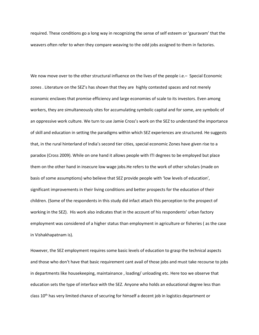required. These conditions go a long way in recognizing the sense of self esteem or 'gauravam' that the weavers often refer to when they compare weaving to the odd jobs assigned to them in factories.

We now move over to the other structural influence on the lives of the people i.e. – Special Economic zones . Literature on the SEZ's has shown that they are highly contested spaces and not merely economic enclaves that promise efficiency and large economies of scale to its investors. Even among workers, they are simultaneously sites for accumulating symbolic capital and for some, are symbolic of an oppressive work culture. We turn to use Jamie Cross's work on the SEZ to understand the importance of skill and education in setting the paradigms within which SEZ experiences are structured. He suggests that, in the rural hinterland of India's second tier cities, special economic Zones have given rise to a paradox (Cross 2009). While on one hand it allows people with ITI degrees to be employed but place them on the other hand in insecure low wage jobs.He refers to the work of other scholars (made on basis of some assumptions) who believe that SEZ provide people with 'low levels of education', significant improvements in their living conditions and better prospects for the education of their children. (Some of the respondents in this study did infact attach this perception to the prospect of working in the SEZ). His work also indicates that in the account of his respondents' urban factory employment was considered of a higher status than employment in agriculture or fisheries ( as the case in Vishakhapatnam is).

However, the SEZ employment requires some basic levels of education to grasp the technical aspects and those who don't have that basic requirement cant avail of those jobs and must take recourse to jobs in departments like housekeeping, maintainance , loading/ unloading etc. Here too we observe that education sets the type of interface with the SEZ. Anyone who holds an educational degree less than class 10<sup>th</sup> has very limited chance of securing for himself a decent job in logistics department or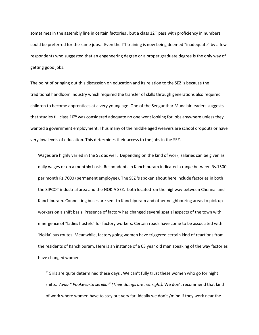sometimes in the assembly line in certain factories, but a class  $12<sup>th</sup>$  pass with proficiency in numbers could be preferred for the same jobs. Even the ITI training is now being deemed "inadequate" by a few respondents who suggested that an engeneering degree or a proper graduate degree is the only way of getting good jobs.

The point of bringing out this discussion on education and its relation to the SEZ is because the traditional handloom industry which required the transfer of skills through generations also required children to become apprentices at a very young age. One of the Sengunthar Mudalair leaders suggests that studies till class  $10<sup>th</sup>$  was considered adequate no one went looking for jobs anywhere unless they wanted a government employment. Thus many of the middle aged weavers are school dropouts or have very low levels of education. This determines their access to the jobs in the SEZ.

Wages are highly varied in the SEZ as well. Depending on the kind of work, salaries can be given as daily wages or on a monthly basis. Respondents in Kanchipuram indicated a range between Rs.1500 per month Rs.7600 (permanent employee). The SEZ 's spoken about here include factories in both the SIPCOT industrial area and the NOKIA SEZ, both located on the highway between Chennai and Kanchipuram. Connecting buses are sent to Kanchipuram and other neighbouring areas to pick up workers on a shift basis. Presence of factory has changed several spatial aspects of the town with emergence of "ladies hostels" for factory workers. Certain roads have come to be associated with 'Nokia' bus routes. Meanwhile, factory going women have triggered certain kind of reactions from the residents of Kanchipuram. Here is an instance of a 63 year old man speaking of the way factories have changed women.

" Girls are quite determined these days . We can't fully trust these women who go for night shifts. *Avaa " Pookevartu seriillai" (Their doings are not right).* We don't recommend that kind of work where women have to stay out very far. Ideally we don't /mind if they work near the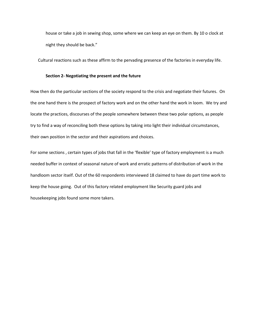house or take a job in sewing shop, some where we can keep an eye on them. By 10 o clock at night they should be back."

Cultural reactions such as these affirm to the pervading presence of the factories in everyday life.

#### **Section 2- Negotiating the present and the future**

How then do the particular sections of the society respond to the crisis and negotiate their futures. On the one hand there is the prospect of factory work and on the other hand the work in loom. We try and locate the practices, discourses of the people somewhere between these two polar options, as people try to find a way of reconciling both these options by taking into light their individual circumstances, their own position in the sector and their aspirations and choices.

For some sections , certain types of jobs that fall in the 'flexible' type of factory employment is a much needed buffer in context of seasonal nature of work and erratic patterns of distribution of work in the handloom sector itself. Out of the 60 respondents interviewed 18 claimed to have do part time work to keep the house going. Out of this factory related employment like Security guard jobs and housekeeping jobs found some more takers.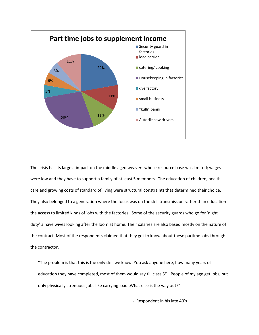

The crisis has its largest impact on the middle aged weavers whose resource base was limited; wages were low and they have to support a family of at least 5 members. The education of children, health care and growing costs of standard of living were structural constraints that determined their choice. They also belonged to a generation where the focus was on the skill transmission rather than education the access to limited kinds of jobs with the factories . Some of the security guards who go for 'night duty' a have wives looking after the loom at home. Their salaries are also based mostly on the nature of the contract. Most of the respondents claimed that they got to know about these partime jobs through the contractor.

"The problem is that this is the only skill we know. You ask anyone here, how many years of education they have completed, most of them would say till class 5<sup>th</sup>. People of my age get jobs, but only physically strenuous jobs like carrying load .What else is the way out?"

- Respondent in his late 40's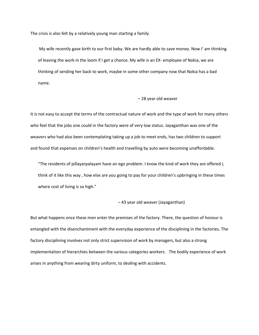The crisis is also felt by a relatively young man starting a family

My wife recently gave birth to our first baby. We are hardly able to save money. Now I' am thinking of leaving the work in the loom if I get a chance. My wife is an EX- employee of Nokia, we are thinking of sending her back to work, maybe in some other company now that Nokia has a bad name.

### – 28 year old weaver

It is not easy to accept the terms of the contractual nature of work and the type of work for many others who feel that the jobs one could in the factory were of very low status. Jayaganthan was one of the weavers who had also been contemplating taking up a job to meet ends, has two children to support and found that expenses on children's health and travelling by auto were becoming unaffordable.

"The residents of pillayarpalayam have an ego problem. I know the kind of work they are offered I, think of it like this way , how else are you going to pay for your children's upbringing in these times where cost of living is so high."

#### – 43 year old weaver (Jayaganthan)

But what happens once these men enter the premises of the factory. There, the question of honour is entangled with the disenchantment with the everyday experience of the disciplining in the factories. The factory disciplining involves not only strict supervision of work by managers, but also a strong implementation of hierarchies between the various categories workers. The bodily experience of work arises in anything from wearing dirty uniform, to dealing with accidents.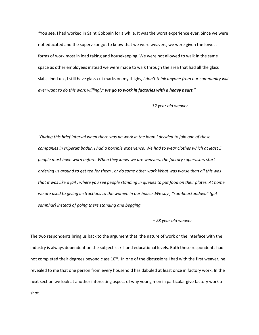*"*You see, I had worked in Saint Gobbain for a while. It was the worst experience ever. Since we were not educated and the supervisor got to know that we were weavers, we were given the lowest forms of work most in load taking and housekeeping. We were not allowed to walk in the same space as other employees instead we were made to walk through the area that had all the glass slabs lined up , I still have glass cut marks on my thighs, *I don't think anyone from our community will ever want to do this work willingly; we go to work in factories with a heavy heart."*

 *- 32 year old weaver*

*"During this brief interval when there was no work in the loom I decided to join one of these companies in sriperumbadur. I had a horrible experience. We had to wear clothes which at least 5 people must have worn before. When they know we are weavers, the factory supervisors start ordering us around to get tea for them , or do some other work.What was worse than all this was that it was like a jail , where you see people standing in queues to put food on their plates. At home we are used to giving instructions to the women in our house .We say , "sambharkondava" (get sambhar) instead of going there standing and begging.* 

# *– 28 year old weaver*

The two respondents bring us back to the argument that the nature of work or the interface with the industry is always dependent on the subject's skill and educational levels. Both these respondents had not completed their degrees beyond class  $10<sup>th</sup>$ . In one of the discussions I had with the first weaver, he revealed to me that one person from every household has dabbled at least once in factory work. In the next section we look at another interesting aspect of why young men in particular give factory work a shot.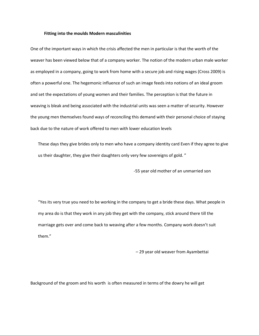#### **Fitting into the moulds Modern masculinities**

One of the important ways in which the crisis affected the men in particular is that the worth of the weaver has been viewed below that of a company worker. The notion of the modern urban male worker as employed in a company, going to work from home with a secure job and rising wages (Cross 2009) is often a powerful one. The hegemonic influence of such an image feeds into notions of an ideal groom and set the expectations of young women and their families. The perception is that the future in weaving is bleak and being associated with the industrial units was seen a matter of security. However the young men themselves found ways of reconciling this demand with their personal choice of staying back due to the nature of work offered to men with lower education levels

These days they give brides only to men who have a company identity card Even if they agree to give us their daughter, they give their daughters only very few sovereigns of gold. "

-55 year old mother of an unmarried son

"Yes its very true you need to be working in the company to get a bride these days. What people in my area do is that they work in any job they get with the company, stick around there till the marriage gets over and come back to weaving after a few months. Company work doesn't suit them."

– 29 year old weaver from Ayambettai

Background of the groom and his worth is often measured in terms of the dowry he will get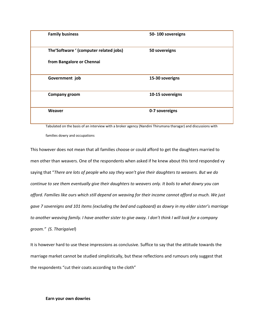| <b>Family business</b>                 | 50-100 sovereigns |
|----------------------------------------|-------------------|
| The'Software ' (computer related jobs) | 50 sovereigns     |
| from Bangalore or Chennai              |                   |
| Government job                         | 15-30 soverigns   |
| <b>Company groom</b>                   | 10-15 sovereigns  |
| Weaver                                 | 0-7 sovereigns    |

Tabulated on the basis of an interview with a broker agency (Nandini Thirumana tharagar) and discussions with families dowry and occupations

This however does not mean that all families choose or could afford to get the daughters married to men other than weavers. One of the respondents when asked if he knew about this tend responded vy saying that "*There are lots of people who say they won't give their daughters to weavers. But we do continue to see them eventually give their daughters to weavers only. It boils to what dowry you can afford. Families like ours which still depend on weaving for their income cannot afford so much. We just gave 7 sovereigns and 101 items (excluding the bed and cupboard) as dowry in my elder sister's marriage to another weaving family. I have another sister to give away. I don't think I will look for a company groom." (S. Tharigaivel*)

It is however hard to use these impressions as conclusive. Suffice to say that the attitude towards the marriage market cannot be studied simplistically, but these reflections and rumours only suggest that the respondents "cut their coats according to the cloth"

#### **Earn your own dowries**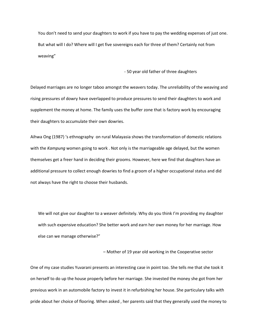You don't need to send your daughters to work if you have to pay the wedding expenses of just one. But what will I do? Where will I get five sovereigns each for three of them? Certainly not from weaving"

- 50 year old father of three daughters

Delayed marriages are no longer taboo amongst the weavers today. The unreliability of the weaving and rising pressures of dowry have overlapped to produce pressures to send their daughters to work and supplement the money at home. The family uses the buffer zone that is factory work by encouraging their daughters to accumulate their own dowries.

Aihwa Ong (1987) 's ethnography on rural Malayasia shows the transformation of domestic relations with the *Kampung* women going to work . Not only is the marriageable age delayed, but the women themselves get a freer hand in deciding their grooms. However, here we find that daughters have an additional pressure to collect enough dowries to find a groom of a higher occupational status and did not always have the right to choose their husbands.

We will not give our daughter to a weaver definitely. Why do you think I'm providing my daughter with such expensive education? She better work and earn her own money for her marriage. How else can we manage otherwise?"

– Mother of 19 year old working in the Cooperative sector

One of my case studies Yuvarani presents an interesting case in point too. She tells me that she took it on herself to do up the house properly before her marriage. She invested the money she got from her previous work in an automobile factory to invest it in refurbishing her house. She particulary talks with pride about her choice of flooring. When asked , her parents said that they generally used the money to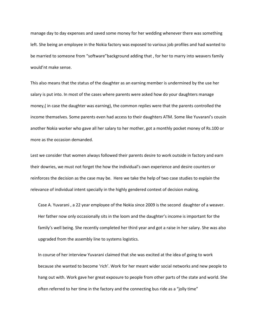manage day to day expenses and saved some money for her wedding whenever there was something left. She being an employee in the Nokia factory was exposed to various job profiles and had wanted to be married to someone from "software"background adding that , for her to marry into weavers family would'nt make sense.

This also means that the status of the daughter as an earning member is undermined by the use her salary is put into. In most of the cases where parents were asked how do your daughters manage money,( in case the daughter was earning), the common replies were that the parents controlled the income themselves. Some parents even had access to their daughters ATM. Some like Yuvarani's cousin another Nokia worker who gave all her salary to her mother, got a monthly pocket money of Rs.100 or more as the occasion demanded.

Lest we consider that women always followed their parents desire to work outside in factory and earn their dowries, we must not forget the how the individual's own experience and desire counters or reinforces the decision as the case may be. Here we take the help of two case studies to explain the relevance of individual intent specially in the highly gendered context of decision making.

Case A. Yuvarani , a 22 year employee of the Nokia since 2009 is the second daughter of a weaver. Her father now only occasionally sits in the loom and the daughter's income is important for the family's well being. She recently completed her third year and got a raise in her salary. She was also upgraded from the assembly line to systems logistics.

In course of her interview Yuvarani claimed that she was excited at the idea of going to work because she wanted to become 'rich'. Work for her meant wider social networks and new people to hang out with. Work gave her great exposure to people from other parts of the state and world. She often referred to her time in the factory and the connecting bus ride as a "jolly time"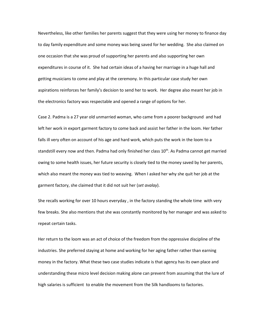Nevertheless, like other families her parents suggest that they were using her money to finance day to day family expenditure and some money was being saved for her wedding. She also claimed on one occasion that she was proud of supporting her parents and also supporting her own expenditures in course of it. She had certain ideas of a having her marriage in a huge hall and getting musicians to come and play at the ceremony. In this particular case study her own aspirations reinforces her family's decision to send her to work. Her degree also meant her job in the electronics factory was respectable and opened a range of options for her.

Case 2. Padma is a 27 year old unmarried woman, who came from a poorer background and had left her work in export garment factory to come back and assist her father in the loom. Her father falls ill very often on account of his age and hard work, which puts the work in the loom to a standstill every now and then. Padma had only finished her class  $10<sup>th</sup>$ . As Padma cannot get married owing to some health issues, her future security is closely tied to the money saved by her parents, which also meant the money was tied to weaving. When I asked her why she quit her job at the garment factory, she claimed that it did not suit her (*set avalay*).

She recalls working for over 10 hours everyday , in the factory standing the whole time with very few breaks. She also mentions that she was constantly monitored by her manager and was asked to repeat certain tasks.

Her return to the loom was an act of choice of the freedom from the oppressive discipline of the industries. She preferred staying at home and working for her aging father rather than earning money in the factory. What these two case studies indicate is that agency has its own place and understanding these micro level decision making alone can prevent from assuming that the lure of high salaries is sufficient to enable the movement from the Silk handlooms to factories.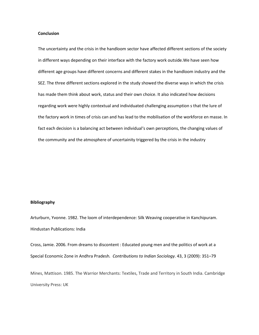#### **Conclusion**

The uncertainty and the crisis in the handloom sector have affected different sections of the society in different ways depending on their interface with the factory work outside.We have seen how different age groups have different concerns and different stakes in the handloom industry and the SEZ. The three different sections explored in the study showed the diverse ways in which the crisis has made them think about work, status and their own choice. It also indicated how decisions regarding work were highly contextual and individuated challenging assumption s that the lure of the factory work in times of crisis can and has lead to the mobilisation of the workforce en masse. In fact each decision is a balancing act between individual's own perceptions, the changing values of the community and the atmosphere of uncertainity triggered by the crisis in the industry

#### **Bibliography**

Arturburn, Yvonne. 1982. The loom of interdependence: Silk Weaving cooperative in Kanchipuram. Hindustan Publications: India

Cross, Jamie. 2006. From dreams to discontent : Educated young men and the politics of work at a Special Economic Zone in Andhra Pradesh*. Contributions to Indian Sociology*. 43, 3 (2009): 351–79

Mines, Mattison. 1985. The Warrior Merchants: Textiles, Trade and Territory in South India. Cambridge University Press: UK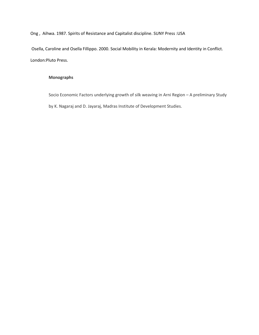Ong , Aihwa. 1987. Spirits of Resistance and Capitalist discipline. SUNY Press :USA

Osella, Caroline and Osella Fillippo. 2000. Social Mobility in Kerala: Modernity and Identity in Conflict. London:Pluto Press.

# **Monographs**

Socio Economic Factors underlying growth of silk weaving in Arni Region – A preliminary Study by K. Nagaraj and D. Jayaraj, Madras Institute of Development Studies.